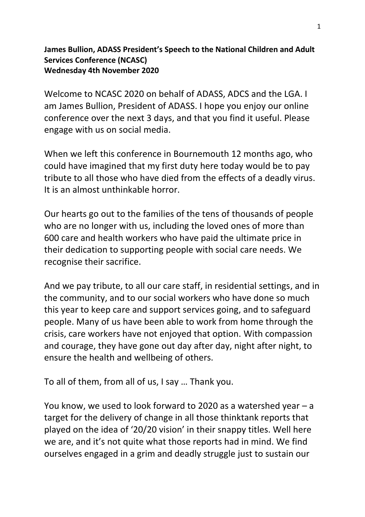## **James Bullion, ADASS President's Speech to the National Children and Adult Services Conference (NCASC) Wednesday 4th November 2020**

Welcome to NCASC 2020 on behalf of ADASS, ADCS and the LGA. I am James Bullion, President of ADASS. I hope you enjoy our online conference over the next 3 days, and that you find it useful. Please engage with us on social media.

When we left this conference in Bournemouth 12 months ago, who could have imagined that my first duty here today would be to pay tribute to all those who have died from the effects of a deadly virus. It is an almost unthinkable horror.

Our hearts go out to the families of the tens of thousands of people who are no longer with us, including the loved ones of more than 600 care and health workers who have paid the ultimate price in their dedication to supporting people with social care needs. We recognise their sacrifice.

And we pay tribute, to all our care staff, in residential settings, and in the community, and to our social workers who have done so much this year to keep care and support services going, and to safeguard people. Many of us have been able to work from home through the crisis, care workers have not enjoyed that option. With compassion and courage, they have gone out day after day, night after night, to ensure the health and wellbeing of others.

To all of them, from all of us, I say … Thank you.

You know, we used to look forward to 2020 as a watershed year – a target for the delivery of change in all those thinktank reports that played on the idea of '20/20 vision' in their snappy titles. Well here we are, and it's not quite what those reports had in mind. We find ourselves engaged in a grim and deadly struggle just to sustain our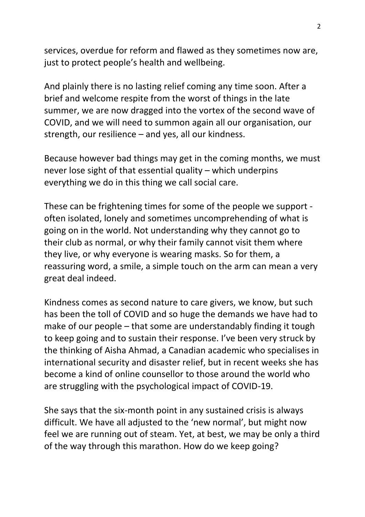services, overdue for reform and flawed as they sometimes now are, just to protect people's health and wellbeing.

And plainly there is no lasting relief coming any time soon. After a brief and welcome respite from the worst of things in the late summer, we are now dragged into the vortex of the second wave of COVID, and we will need to summon again all our organisation, our strength, our resilience – and yes, all our kindness.

Because however bad things may get in the coming months, we must never lose sight of that essential quality – which underpins everything we do in this thing we call social care.

These can be frightening times for some of the people we support often isolated, lonely and sometimes uncomprehending of what is going on in the world. Not understanding why they cannot go to their club as normal, or why their family cannot visit them where they live, or why everyone is wearing masks. So for them, a reassuring word, a smile, a simple touch on the arm can mean a very great deal indeed.

Kindness comes as second nature to care givers, we know, but such has been the toll of COVID and so huge the demands we have had to make of our people – that some are understandably finding it tough to keep going and to sustain their response. I've been very struck by the thinking of Aisha Ahmad, a Canadian academic who specialises in international security and disaster relief, but in recent weeks she has become a kind of online counsellor to those around the world who are struggling with the psychological impact of COVID-19.

She says that the six-month point in any sustained crisis is always difficult. We have all adjusted to the 'new normal', but might now feel we are running out of steam. Yet, at best, we may be only a third of the way through this marathon. How do we keep going?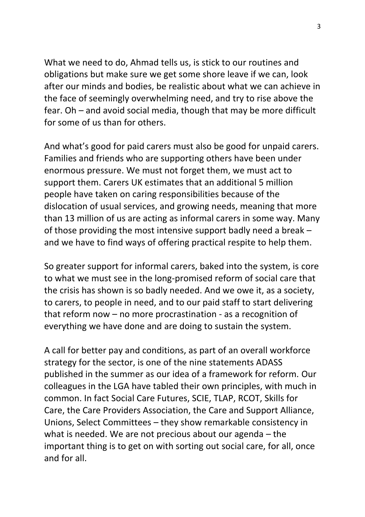What we need to do, Ahmad tells us, is stick to our routines and obligations but make sure we get some shore leave if we can, look after our minds and bodies, be realistic about what we can achieve in the face of seemingly overwhelming need, and try to rise above the fear. Oh – and avoid social media, though that may be more difficult for some of us than for others.

And what's good for paid carers must also be good for unpaid carers. Families and friends who are supporting others have been under enormous pressure. We must not forget them, we must act to support them. Carers UK estimates that an additional 5 million people have taken on caring responsibilities because of the dislocation of usual services, and growing needs, meaning that more than 13 million of us are acting as informal carers in some way. Many of those providing the most intensive support badly need a break – and we have to find ways of offering practical respite to help them.

So greater support for informal carers, baked into the system, is core to what we must see in the long-promised reform of social care that the crisis has shown is so badly needed. And we owe it, as a society, to carers, to people in need, and to our paid staff to start delivering that reform now – no more procrastination - as a recognition of everything we have done and are doing to sustain the system.

A call for better pay and conditions, as part of an overall workforce strategy for the sector, is one of the nine statements ADASS published in the summer as our idea of a framework for reform. Our colleagues in the LGA have tabled their own principles, with much in common. In fact Social Care Futures, SCIE, TLAP, RCOT, Skills for Care, the Care Providers Association, the Care and Support Alliance, Unions, Select Committees – they show remarkable consistency in what is needed. We are not precious about our agenda – the important thing is to get on with sorting out social care, for all, once and for all.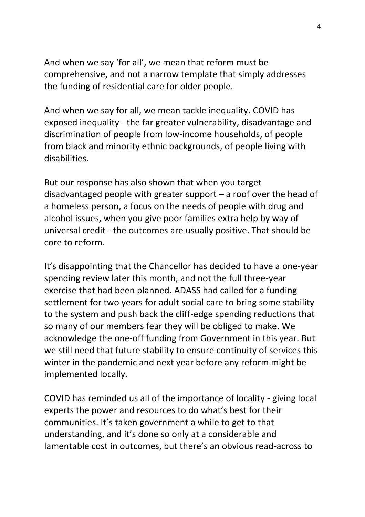And when we say 'for all', we mean that reform must be comprehensive, and not a narrow template that simply addresses the funding of residential care for older people.

And when we say for all, we mean tackle inequality. COVID has exposed inequality - the far greater vulnerability, disadvantage and discrimination of people from low-income households, of people from black and minority ethnic backgrounds, of people living with disabilities.

But our response has also shown that when you target disadvantaged people with greater support – a roof over the head of a homeless person, a focus on the needs of people with drug and alcohol issues, when you give poor families extra help by way of universal credit - the outcomes are usually positive. That should be core to reform.

It's disappointing that the Chancellor has decided to have a one-year spending review later this month, and not the full three-year exercise that had been planned. ADASS had called for a funding settlement for two years for adult social care to bring some stability to the system and push back the cliff-edge spending reductions that so many of our members fear they will be obliged to make. We acknowledge the one-off funding from Government in this year. But we still need that future stability to ensure continuity of services this winter in the pandemic and next year before any reform might be implemented locally.

COVID has reminded us all of the importance of locality - giving local experts the power and resources to do what's best for their communities. It's taken government a while to get to that understanding, and it's done so only at a considerable and lamentable cost in outcomes, but there's an obvious read-across to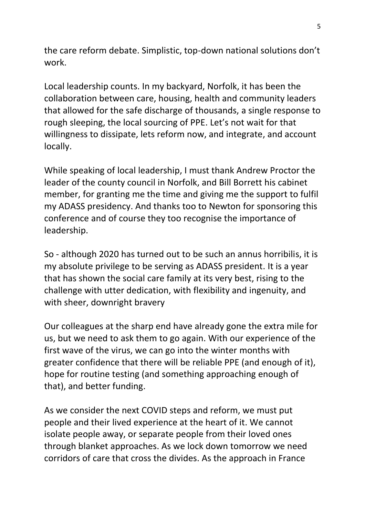the care reform debate. Simplistic, top-down national solutions don't work.

Local leadership counts. In my backyard, Norfolk, it has been the collaboration between care, housing, health and community leaders that allowed for the safe discharge of thousands, a single response to rough sleeping, the local sourcing of PPE. Let's not wait for that willingness to dissipate, lets reform now, and integrate, and account locally.

While speaking of local leadership, I must thank Andrew Proctor the leader of the county council in Norfolk, and Bill Borrett his cabinet member, for granting me the time and giving me the support to fulfil my ADASS presidency. And thanks too to Newton for sponsoring this conference and of course they too recognise the importance of leadership.

So - although 2020 has turned out to be such an annus horribilis, it is my absolute privilege to be serving as ADASS president. It is a year that has shown the social care family at its very best, rising to the challenge with utter dedication, with flexibility and ingenuity, and with sheer, downright bravery

Our colleagues at the sharp end have already gone the extra mile for us, but we need to ask them to go again. With our experience of the first wave of the virus, we can go into the winter months with greater confidence that there will be reliable PPE (and enough of it), hope for routine testing (and something approaching enough of that), and better funding.

As we consider the next COVID steps and reform, we must put people and their lived experience at the heart of it. We cannot isolate people away, or separate people from their loved ones through blanket approaches. As we lock down tomorrow we need corridors of care that cross the divides. As the approach in France